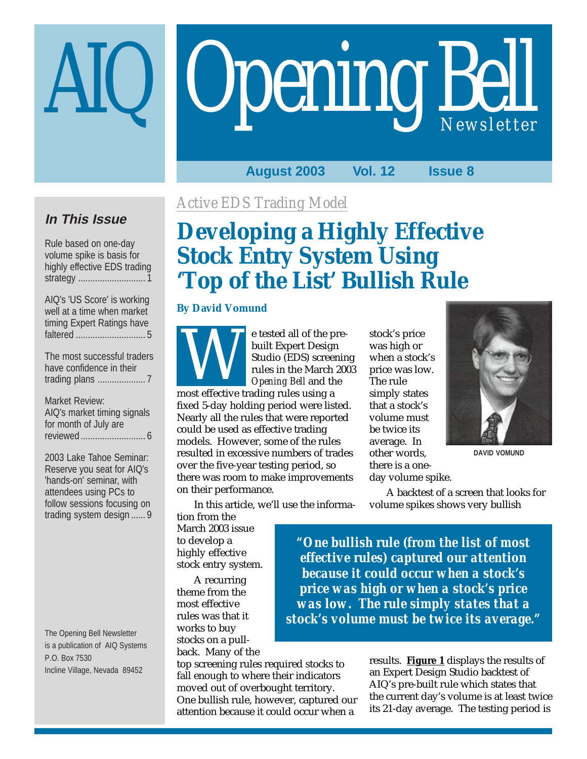# **Opening Bell** *Newsletter* IQ

#### **August 2003 Vol. 12 Issue 8**

### **In This Issue**

Rule based on one-day volume spike is basis for highly effective EDS trading strategy ............................ 1

| AIQ's 'US Score' is working           |
|---------------------------------------|
| well at a time when market            |
| timing Expert Ratings have            |
|                                       |
|                                       |
| $\tau$ . The set of the set of $\tau$ |

The most successful traders have confidence in their trading plans .................... 7

Market Review: AIQ's market timing signals for month of July are reviewed........................... 6

2003 Lake Tahoe Seminar: Reserve you seat for AIQ's 'hands-on' seminar, with attendees using PCs to follow sessions focusing on trading system design ...... 9

The Opening Bell Newsletter is a publication of AIQ Systems P.O. Box 7530 Incline Village, Nevada 89452

### *Active EDS Trading Model*

## **Developing a Highly Effective Stock Entry System Using 'Top of the List' Bullish Rule**

#### **By David Vomund**



e tested all of the prebuilt Expert Design Studio (EDS) screening rules in the March 2003 *Opening Bell* and the E tested an of the posted built Expert Design<br>built Expert Design<br>studio (EDS) scree<br>rules in the March<br>Opening Bell and th<br>most effective trading rules using a

fixed 5-day holding period were listed. Nearly all the rules that were reported could be used as effective trading models. However, some of the rules resulted in excessive numbers of trades over the five-year testing period, so there was room to make improvements on their performance.

In this article, we'll use the informa-

tion from the March 2003 issue to develop a highly effective stock entry system.

A recurring theme from the most effective rules was that it works to buy stocks on a pullback. Many of the

top screening rules required stocks to fall enough to where their indicators moved out of overbought territory. One bullish rule, however, captured our attention because it could occur when a

stock's price was high or when a stock's price was low. The rule simply states that a stock's volume must be twice its average. In other words, there is a oneday volume spike.



**DAVID VOMUND**

A backtest of a screen that looks for volume spikes shows very bullish

*"One bullish rule (from the list of most effective rules) captured our attention because it could occur when a stock's price was high or when a stock's price was low. The rule simply states that a stock's volume must be twice its average."*

> results. **Figure 1** displays the results of an Expert Design Studio backtest of AIQ's pre-built rule which states that the current day's volume is at least twice its 21-day average. The testing period is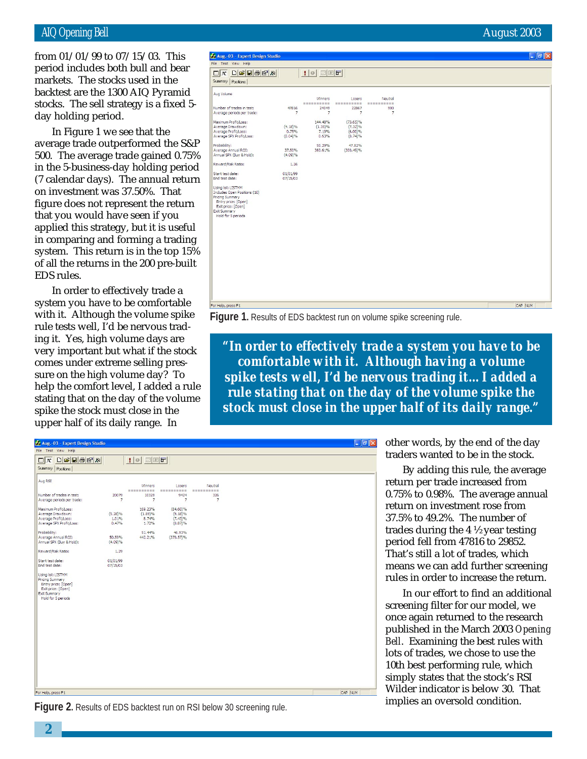#### AIQ Opening Bell August 2003

backtest are the 1300 AIQ Pyramid from 01/01/99 to 07/15/03. This period includes both bull and bear markets. The stocks used in the stocks. The sell strategy is a fixed 5 day holding period.

In Figure 1 we see that the average trade outperformed the S&P 500. The average trade gained 0.75% in the 5-business-day holding period (7 calendar days). The annual return on investment was 37.50%. That figure does not represent the return that you would have seen if you applied this strategy, but it is useful in comparing and forming a trading system. This return is in the top 15% of all the returns in the 200 pre-built EDS rules.

In order to effectively trade a system you have to be comfortable with it. Although the volume spike rule tests well, I'd be nervous trading it. Yes, high volume days are very important but what if the stock comes under extreme selling pressure on the high volume day? To help the comfort level, I added a rule stating that on the day of the volume spike the stock must close in the upper half of its daily range. In

| Aug.-03 - Expert Design Studio<br>File Test View Help                                                                       |                |                       |                    |                       |  | $\Box$ e $\mathsf{X}$ |
|-----------------------------------------------------------------------------------------------------------------------------|----------------|-----------------------|--------------------|-----------------------|--|-----------------------|
| $\Box\left \mathcal{B}\right \mathbf{H}\left \mathcal{B}\right \mathbf{E}\left \mathcal{B}\right $<br>$\Box$ $\mathbf{A}^*$ |                | 1000                  |                    |                       |  |                       |
| Summary Positions                                                                                                           |                |                       |                    |                       |  |                       |
| Aug Volume                                                                                                                  |                |                       |                    |                       |  |                       |
|                                                                                                                             |                | Winners<br>---------- | Losers<br>-------- | Neutral<br>---------- |  |                       |
| Number of trades in test:                                                                                                   | 47816          | 24049                 | 22867              | 900                   |  |                       |
| Average periods per trade:                                                                                                  | $\overline{7}$ | $\overline{7}$        | $\overline{7}$     | $\overline{7}$        |  |                       |
| Maximum Profit/Loss:                                                                                                        |                | 144.48%               | $(73.65)\%$        |                       |  |                       |
| Average Drawdown:                                                                                                           | $(4.18)\%$     | $(1.35)\%$            | $(7.32)\%$         |                       |  |                       |
| Average Profit/Loss:                                                                                                        | 0.75%          | 7.19%                 | (6.00)%            |                       |  |                       |
| Average SPX Profit/Loss:                                                                                                    | $(0.04)\%$     | 0.63%                 | (0.74)%            |                       |  |                       |
| Probability:                                                                                                                |                | 50.29%                | 47.82%             |                       |  |                       |
| Average Annual ROI:                                                                                                         | 37.50%         | 360.61%               | $(300.49)$ %       |                       |  |                       |
| Annual SPX (Buy & Hold):                                                                                                    | (4.09)%        |                       |                    |                       |  |                       |
| Reward/Risk Ratio:                                                                                                          | 1.26           |                       |                    |                       |  |                       |
| Start test date:                                                                                                            | 01/01/99       |                       |                    |                       |  |                       |
| End test date:                                                                                                              | 07/15/03       |                       |                    |                       |  |                       |
| Using list: LISTMM                                                                                                          |                |                       |                    |                       |  |                       |
| Includes Open Positions (10)                                                                                                |                |                       |                    |                       |  |                       |
| Pricing Summary                                                                                                             |                |                       |                    |                       |  |                       |
| Entry price: [Open]                                                                                                         |                |                       |                    |                       |  |                       |
| Exit price: [Open]                                                                                                          |                |                       |                    |                       |  |                       |
| Exit Summary                                                                                                                |                |                       |                    |                       |  |                       |
| Hold for 5 periods                                                                                                          |                |                       |                    |                       |  |                       |
|                                                                                                                             |                |                       |                    |                       |  |                       |
|                                                                                                                             |                |                       |                    |                       |  |                       |
|                                                                                                                             |                |                       |                    |                       |  |                       |
|                                                                                                                             |                |                       |                    |                       |  |                       |
|                                                                                                                             |                |                       |                    |                       |  |                       |
|                                                                                                                             |                |                       |                    |                       |  |                       |
|                                                                                                                             |                |                       |                    |                       |  |                       |
|                                                                                                                             |                |                       |                    |                       |  |                       |
|                                                                                                                             |                |                       |                    |                       |  |                       |
|                                                                                                                             |                |                       |                    |                       |  |                       |
|                                                                                                                             |                |                       |                    |                       |  |                       |
|                                                                                                                             |                |                       |                    |                       |  |                       |
| For Help, press F1                                                                                                          |                |                       |                    |                       |  | CAP NUM               |

**Figure 1.** Results of EDS backtest run on volume spike screening rule.

*"In order to effectively trade a system you have to be comfortable with it. Although having a volume spike tests well, I'd be nervous trading it…I added a rule stating that on the day of the volume spike the stock must close in the upper half of its daily range."*

| Aug.-03 - Expert Design Studio<br>File Test View Help                                                                                                                                                                                                                                                                                                                                                                          |                                                                                                                 |                                                                                                                  |                                                                                                                                |                                                |  | $\Box$ e $\mathbf{x}$ |
|--------------------------------------------------------------------------------------------------------------------------------------------------------------------------------------------------------------------------------------------------------------------------------------------------------------------------------------------------------------------------------------------------------------------------------|-----------------------------------------------------------------------------------------------------------------|------------------------------------------------------------------------------------------------------------------|--------------------------------------------------------------------------------------------------------------------------------|------------------------------------------------|--|-----------------------|
| $\text{D}\text{E}\text{E}\text{E}\text{E}\text{E}$<br>$\Box$ $\mathbf{A}$<br>Summary Positions                                                                                                                                                                                                                                                                                                                                 |                                                                                                                 | $  \cdot   \cdot  $ defer                                                                                        |                                                                                                                                |                                                |  |                       |
| Aug RSI<br>Number of trades in test:<br>Average periods per trade:<br>Maximum Profit/Loss:<br>Average Drawdown:<br>Average Profit/Loss:<br>Average SPX Profit/Loss:<br>Probability:<br>Average Annual ROI:<br>Annual SPX (Buy & Hold):<br>Reward/Risk Ratio:<br>Start test date:<br>End test date:<br>Using list: LISTMM<br>Pricing Summary<br>Entry price: [Open]<br>Exit price: [Open]<br>Exit Summary<br>Hold for 5 periods | 20079<br>$\overline{7}$<br>$(5.28)\%$<br>1.01%<br>0.47%<br>50.59%<br>$(4.09)\%$<br>1.29<br>01/01/99<br>07/15/03 | Winners<br>----------<br>10329<br>$\overline{7}$<br>169.23%<br>$(1.89)\%$<br>8.74%<br>1.72%<br>51.44%<br>442.21% | Losers<br>----------<br>9424<br>$\overline{7}$<br>$(84.60)\%$<br>$(9.18)\%$<br>$(7.43)\%$<br>(0.87)%<br>46.93%<br>$(370.57)\%$ | Neutral<br>----------<br>326<br>$\overline{7}$ |  |                       |
|                                                                                                                                                                                                                                                                                                                                                                                                                                |                                                                                                                 |                                                                                                                  |                                                                                                                                |                                                |  |                       |
| For Help, press F1                                                                                                                                                                                                                                                                                                                                                                                                             |                                                                                                                 |                                                                                                                  |                                                                                                                                |                                                |  | CAP NUM               |

**Figure 2.** Results of EDS backtest run on RSI below 30 screening rule. **Figure 2. Figure 2.** Results of EDS backtest run on RSI below 30 screening rule.

other words, by the end of the day traders wanted to be in the stock.

By adding this rule, the average return per trade increased from 0.75% to 0.98%. The average annual return on investment rose from 37.5% to 49.2%. The number of trades during the 4 ½ year testing period fell from 47816 to 29852. That's still a lot of trades, which means we can add further screening rules in order to increase the return.

In our effort to find an additional screening filter for our model, we once again returned to the research published in the March 2003 *Opening Bell*. Examining the best rules with lots of trades, we chose to use the 10th best performing rule, which simply states that the stock's RSI Wilder indicator is below 30. That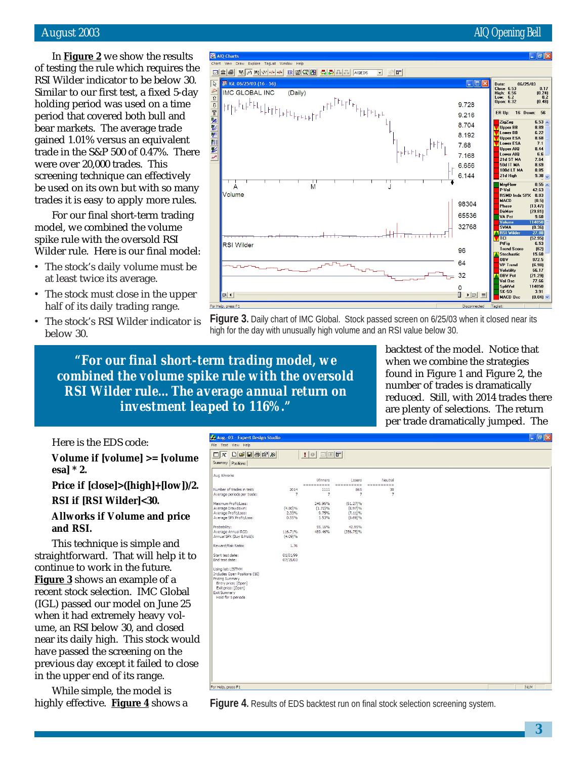#### August 2003 AIQ Opening Bell

In **Figure 2** we show the results of testing the rule which requires the RSI Wilder indicator to be below 30. Similar to our first test, a fixed 5-day holding period was used on a time period that covered both bull and bear markets. The average trade gained 1.01% versus an equivalent trade in the S&P 500 of 0.47%. There were over 20,000 trades. This screening technique can effectively be used on its own but with so many trades it is easy to apply more rules.

For our final short-term trading model, we combined the volume spike rule with the oversold RSI Wilder rule. Here is our final model:

- The stock's daily volume must be at least twice its average.
- The stock must close in the upper half of its daily trading range.
- The stock's RSI Wilder indicator is below 30.

AIQ Charts Draw Explore **⊡鱼④ W m th w ++++ ER Ø Q M A A A A A A A A A A A A A A A A**  $\Box$   $\oplus$  $\overline{\mathbb{R}}$ IGL 06/25/03 (16 - 56) Date:<br>Close: 6.53<br>High: 6.56<br>Low: 6.2<br>Open: 6.32  $\begin{array}{c} 0.17 \\ (0.24) \\ 0.2 \\ (0.48) \end{array}$ **IMC GLOBAL INC** (Daily) .<br>, ┉╸╺╍╍┈┈<br>┞<sup>┍</sup>┞┝<sup>┡</sup>┖<sup>┝┞</sup>┖┖╟┝┍┞<sub>┝</sub>┍┖┝┍┶┶╒<sup>┍┍</sub></sup> 1000 亚紫彩 医制 9.728 9 216 ER Up: 16 Down 56 ZigZag 6.53 8.704 Upper BB<br>Lower BB<br>Lower ESA<br>Upper ESA 8.89 6.22<br>8.68 8.192 7.1<br>8.44<br>6.6<br>7.64<br>8.69<br>8.85<br>9.38 7.68 ¥ Upper AIQ  $F^{\frac{1}{2}E^{\frac{1}{2}}E^{\frac{1}{2}}E^{\frac{1}{2}}E^{\frac{1}{2}}E^{\frac{1}{2}}E^{\frac{1}{2}}E^{\frac{1}{2}}E^{\frac{1}{2}}E^{\frac{1}{2}}E^{\frac{1}{2}}E^{\frac{1}{2}}E^{\frac{1}{2}}E^{\frac{1}{2}}E^{\frac{1}{2}}E^{\frac{1}{2}}E^{\frac{1}{2}}E^{\frac{1}{2}}E^{\frac{1}{2}}E^{\frac{1}{2}}E^{\frac{1}{2}}E^{\frac{1}{2}}E^{\frac{1}{2}}E^{\frac{1}{2}}E^{\frac$ 7.168 Lower Alu<br>21d ST MA<br>50d IT MA<br>100d LT MA 6.656 6.144 21d High  $0.55$ <br>42.63<br>8.83<br>(0.5) MnyFlow<br>P-Vol<br>RSMD Ind<br>MACD  $\mathsf{M}$ J A Volume 98304 Phase  $(13.47)$ DirMo  $[29.81]$ 65536 VA Pct 9.68 32768 **SVMA**  $(0.36)$ <mark>A RSI Wil</mark><br><mark>V</mark> TCI 27.88<br>52.95) 6.53<br>6.53<br>62)<br>15.68 PtFig<br>Trend Score<br>Stochastic **RSI** Wilder 96 OBV<br>VP Trend<br>Volatility<br>OBV Pct 872.5 64  $(6.98)$ 66.17 06.17<br>(21.29)<br>77.66<br>114850  $32$ UBY Pet<br>Vol Osc<br>SplitVol<br>SK-SD<br>MACD Osc  $\Omega$  $\mathbb{R}$  | ER  $3.91$ <br>[0.04]  $ER$   $\vert$   $\vert$ elo, press F:

**Figure 3.** Daily chart of IMC Global. Stock passed screen on 6/25/03 when it closed near its high for the day with unusually high volume and an RSI value below 30.

*"For our final short-term trading model, we combined the volume spike rule with the oversold RSI Wilder rule…The average annual return on investment leaped to 116%."*

backtest of the model. Notice that when we combine the strategies found in Figure 1 and Figure 2, the number of trades is dramatically reduced. Still, with 2014 trades there are plenty of selections. The return per trade dramatically jumped. The

Here is the EDS code:

#### **Volume if [volume] >= [volume esa] \* 2.**

#### **Price if [close]>([high]+[low])/2.**

**RSI if [RSI Wilder]<30.**

#### **Allworks if Volume and price and RSI.**

This technique is simple and straightforward. That will help it to continue to work in the future. **Figure 3** shows an example of a recent stock selection. IMC Global (IGL) passed our model on June 25 when it had extremely heavy volume, an RSI below 30, and closed near its daily high. This stock would have passed the screening on the previous day except it failed to close in the upper end of its range.

While simple, the model is highly effective. **Figure 4** shows a



**Figure 4.** Results of EDS backtest run on final stock selection screening system.

**3**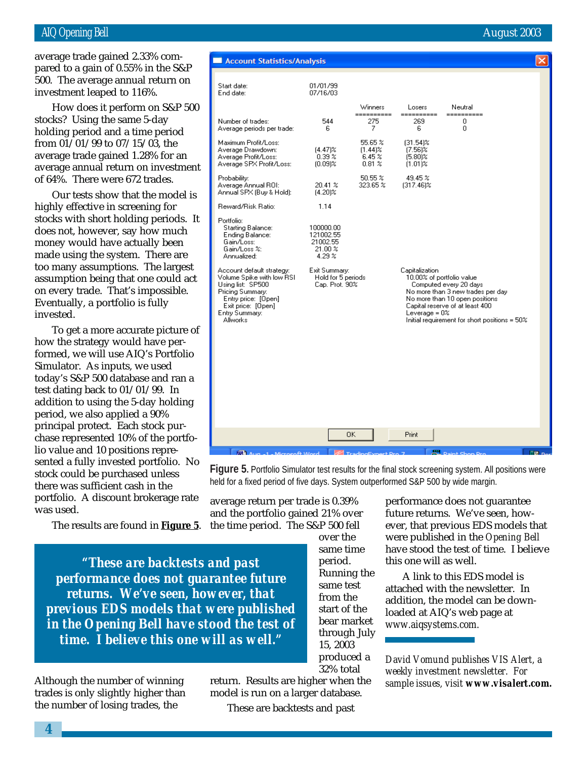#### AIQ Opening Bell August 2003

investment leaped to 116%. average trade gained 2.33% compared to a gain of 0.55% in the S&P 500. The average annual return on

How does it perform on S&P 500 stocks? Using the same 5-day holding period and a time period from 01/01/99 to 07/15/03, the average trade gained 1.28% for an average annual return on investment of 64%. There were 672 trades.

Our tests show that the model is highly effective in screening for stocks with short holding periods. It does not, however, say how much money would have actually been made using the system. There are too many assumptions. The largest assumption being that one could act on every trade. That's impossible. Eventually, a portfolio is fully invested.

To get a more accurate picture of how the strategy would have performed, we will use AIQ's Portfolio Simulator. As inputs, we used today's S&P 500 database and ran a test dating back to 01/01/99. In addition to using the 5-day holding period, we also applied a 90% principal protect. Each stock purchase represented 10% of the portfolio value and 10 positions represented a fully invested portfolio. No stock could be purchased unless there was sufficient cash in the portfolio. A discount brokerage rate was used.

The results are found in **Figure 5**.

*"These are backtests and past performance does not guarantee future returns. We've seen, however, that previous EDS models that were published in the Opening Bell have stood the test of time. I believe this one will as well."*

Although the number of winning trades is only slightly higher than the number of losing trades, the

return. Results are higher when the model is run on a larger database.

and the portfolio gained 21% over the time period. The S&P 500 fell

over the

period.

same test from the start of the bear market through July 15, 2003 produced a 32% total

These are backtests and past

same time Running the performance does not guarantee future returns. We've seen, however, that previous EDS models that were published in the *Opening Bell* have stood the test of time. I believe this one will as well.

A link to this EDS model is attached with the newsletter. In addition, the model can be downloaded at AIQ's web page at *www.aiqsystems.com.*

*David Vomund publishes VIS Alert, a weekly investment newsletter. For sample issues, visit www.visalert.com.*

Figure 5. Portfolio Simulator test results for the final stock screening system. All positions were held for a fixed period of five days. System outperformed S&P 500 by wide margin.

average return per trade is 0.39%

| <b>Account Statistics/Analysis</b>                                                                                                                                                |                                                          |                                                 |                                                       |                                                                                                                                                                                                                 |  |
|-----------------------------------------------------------------------------------------------------------------------------------------------------------------------------------|----------------------------------------------------------|-------------------------------------------------|-------------------------------------------------------|-----------------------------------------------------------------------------------------------------------------------------------------------------------------------------------------------------------------|--|
| Start date:<br>End date:                                                                                                                                                          | 01/01/99<br>07/16/03                                     | Winners                                         | Losers                                                | Neutral                                                                                                                                                                                                         |  |
| Number of trades:<br>Average periods per trade:                                                                                                                                   | 544<br>6                                                 | ==========<br>275<br>7                          | =======<br>269<br>6                                   | =======<br>0<br>0                                                                                                                                                                                               |  |
| Maximum Profit/Loss:<br>Average Drawdown:<br>Average Profit/Loss:<br>Average SPX Profit/Loss:                                                                                     | $(4.47)\%$<br>0.39 <sup>2</sup><br>$(0.09)$ %            | 55.65 %<br>$(1.44)$ %<br>6.45%<br>$0.81 \times$ | $(31.54)$ %<br>$(7.56)$ %<br>$(5.80)$ %<br>$(1.01)$ % |                                                                                                                                                                                                                 |  |
| Probability:<br>Average Annual ROI:<br>Annual SPX (Buy & Hold):                                                                                                                   | 20.41 %<br>$[4.20]$ %                                    | 50.55 %<br>323.65 %                             | 49.45 %<br>$[317.46]\%$                               |                                                                                                                                                                                                                 |  |
| Reward/Risk Ratio:                                                                                                                                                                | 1.14                                                     |                                                 |                                                       |                                                                                                                                                                                                                 |  |
| Portfolio:<br>Starting Balance:<br>Ending Balance:<br>Gain/Loss:<br>Gain/Loss %:<br>Annualized:                                                                                   | 100000.00<br>121002.55<br>21002.55<br>21.00%<br>$4.29\%$ |                                                 |                                                       |                                                                                                                                                                                                                 |  |
| Account default strategy:<br>Volume Spike with low RSI<br>Using list: SP500<br>Pricing Summary:<br>Entry price: [Open]<br>Exit price: [Open]<br>Entry Summary:<br><b>Allworks</b> | Exit Summary:<br>Hold for 5 periods<br>Cap. Prot. 90%    |                                                 | Capitalization<br>Leverage = $0\%$                    | 10.00% of portfolio value<br>Computed every 20 days<br>No more than 3 new trades per day<br>No more than 10 open positions.<br>Capital reserve of at least 400<br>Initial requirement for short positions = 50% |  |
|                                                                                                                                                                                   |                                                          | 0K                                              | Print                                                 |                                                                                                                                                                                                                 |  |
|                                                                                                                                                                                   |                                                          |                                                 |                                                       |                                                                                                                                                                                                                 |  |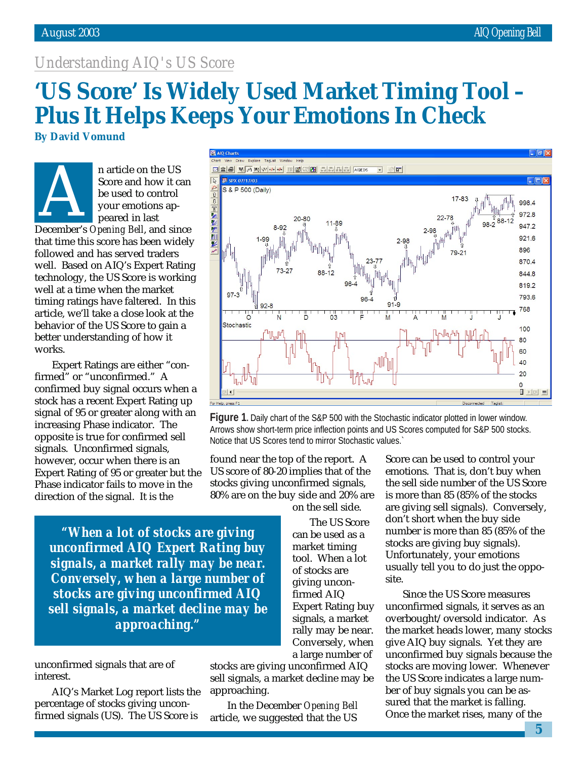### *Understanding AIQ's US Score*

## **'US Score' Is Widely Used Market Timing Tool – Plus It Helps Keeps Your Emotions In Check**

**By David Vomund**



n article on the US Score and how it can be used to control your emotions appeared in last Score and how it can<br>be used to control<br>your emotions ap-<br>peared in last<br>December's *Opening Bell*, and since

ll at a<br>ning r<br>icle, v<br>havio<br>tter u<br>rks. that time this score has been widely followed and has served traders well. Based on AIQ's Expert Rating technology, the US Score is working well at a time when the market timing ratings have faltered. In this article, we'll take a close look at the behavior of the US Score to gain a better understanding of how it works.

Expert Ratings are either "confirmed" or "unconfirmed." A confirmed buy signal occurs when a stock has a recent Expert Rating up signal of 95 or greater along with an increasing Phase indicator. The opposite is true for confirmed sell signals. Unconfirmed signals, however, occur when there is an Expert Rating of 95 or greater but the Phase indicator fails to move in the direction of the signal. It is the



**Figure 1.** Daily chart of the S&P 500 with the Stochastic indicator plotted in lower window. Arrows show short-term price inflection points and US Scores computed for S&P 500 stocks. Notice that US Scores tend to mirror Stochastic values.`

site.

found near the top of the report. A US score of 80-20 implies that of the stocks giving unconfirmed signals, 80% are on the buy side and 20% are

*"When a lot of stocks are giving unconfirmed AIQ Expert Rating buy signals, a market rally may be near. Conversely, when a large number of stocks are giving unconfirmed AIQ sell signals, a market decline may be approaching."*

unconfirmed signals that are of interest.

AIQ's Market Log report lists the percentage of stocks giving unconfirmed signals (US). The US Score is

stocks are giving unconfirmed AIQ sell signals, a market decline may be approaching.

In the December *Opening Bell* article, we suggested that the US

Score can be used to control your emotions. That is, don't buy when the sell side number of the US Score is more than 85 (85% of the stocks are giving sell signals). Conversely, don't short when the buy side number is more than 85 (85% of the stocks are giving buy signals). Unfortunately, your emotions usually tell you to do just the oppo-

Since the US Score measures unconfirmed signals, it serves as an overbought/oversold indicator. As the market heads lower, many stocks give AIQ buy signals. Yet they are unconfirmed buy signals because the stocks are moving lower. Whenever the US Score indicates a large number of buy signals you can be assured that the market is falling. Once the market rises, many of the

on the sell side. The US Score

can be used as a market timing tool. When a lot of stocks are giving unconfirmed AIQ Expert Rating buy signals, a market rally may be near. Conversely, when a large number of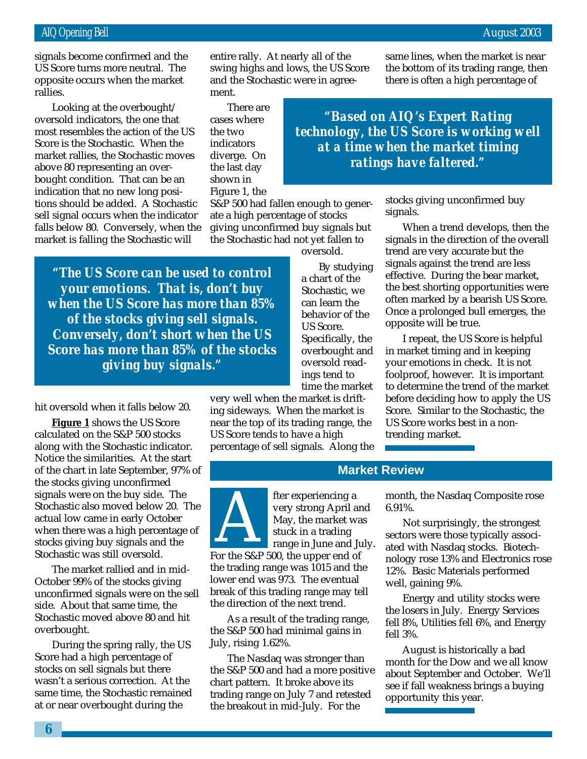signals become confirmed and the US Score turns more neutral. The opposite occurs when the market rallies.

Looking at the overbought/ oversold indicators, the one that most resembles the action of the US Score is the Stochastic. When the market rallies, the Stochastic moves above 80 representing an overbought condition. That can be an indication that no new long positions should be added. A Stochastic sell signal occurs when the indicator falls below 80. Conversely, when the market is falling the Stochastic will

entire rally. At nearly all of the swing highs and lows, the US Score and the Stochastic were in agreement.

There are cases where the two indicators diverge. On the last day shown in Figure 1, the

S&P 500 had fallen enough to generate a high percentage of stocks giving unconfirmed buy signals but the Stochastic had not yet fallen to

*"The US Score can be used to control your emotions. That is, don't buy when the US Score has more than 85% of the stocks giving sell signals. Conversely, don't short when the US Score has more than 85% of the stocks giving buy signals."*

hit oversold when it falls below 20.

**Figure 1** shows the US Score calculated on the S&P 500 stocks along with the Stochastic indicator. Notice the similarities. At the start of the chart in late September, 97% of the stocks giving unconfirmed signals were on the buy side. The Stochastic also moved below 20. The actual low came in early October when there was a high percentage of stocks giving buy signals and the Stochastic was still oversold.

The market rallied and in mid-October 99% of the stocks giving unconfirmed signals were on the sell side. About that same time, the Stochastic moved above 80 and hit overbought.

During the spring rally, the US Score had a high percentage of stocks on sell signals but there wasn't a serious correction. At the same time, the Stochastic remained at or near overbought during the

By studying a chart of the Stochastic, we can learn the behavior of the US Score. Specifically, the overbought and oversold readings tend to time the market

oversold.

very well when the market is drifting sideways. When the market is near the top of its trading range, the US Score tends to have a high percentage of sell signals. Along the

*technology, the US Score is working well at a time when the market timing ratings have faltered."*

*"Based on AIQ's Expert Rating*

same lines, when the market is near the bottom of its trading range, then there is often a high percentage of

stocks giving unconfirmed buy signals.

When a trend develops, then the signals in the direction of the overall trend are very accurate but the signals against the trend are less effective. During the bear market, the best shorting opportunities were often marked by a bearish US Score. Once a prolonged bull emerges, the opposite will be true.

I repeat, the US Score is helpful in market timing and in keeping your emotions in check. It is not foolproof, however. It is important to determine the trend of the market before deciding how to apply the US Score. Similar to the Stochastic, the US Score works best in a nontrending market.

#### **Market Review**

fter experiencing a very strong April and May, the market was stuck in a trading range in June and July. For the S&P 500, the upper end of the trading range was 1015 and the lower end was 973. The eventual break of this trading range may tell the direction of the next trend.

As a result of the trading range, the S&P 500 had minimal gains in July, rising 1.62%.

The Nasdaq was stronger than the S&P 500 and had a more positive chart pattern. It broke above its trading range on July 7 and retested the breakout in mid-July. For the

month, the Nasdaq Composite rose 6.91%.

Not surprisingly, the strongest sectors were those typically associated with Nasdaq stocks. Biotechnology rose 13% and Electronics rose 12%. Basic Materials performed well, gaining 9%.

Energy and utility stocks were the losers in July. Energy Services fell 8%, Utilities fell 6%, and Energy fell 3%.

August is historically a bad month for the Dow and we all know about September and October. We'll see if fall weakness brings a buying opportunity this year.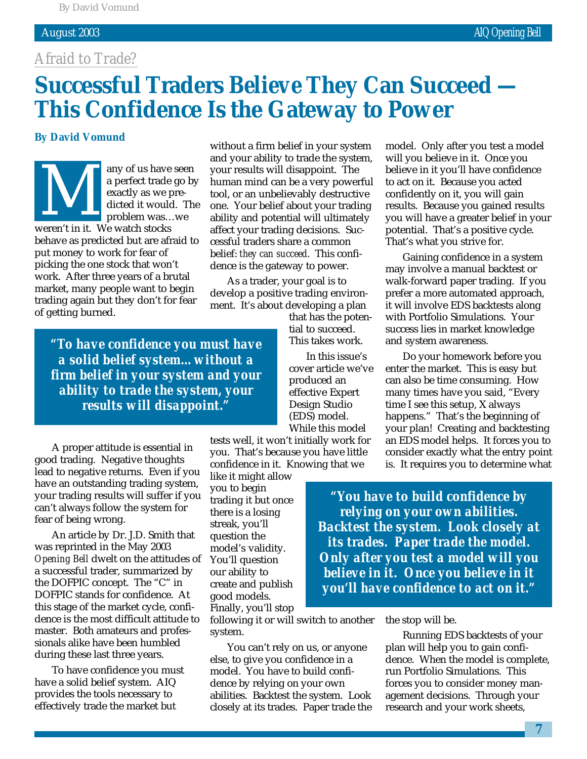#### *Afraid to Trade?*

## **Successful Traders** *Believe* **They Can Succeed — This Confidence Is the Gateway to Power**

#### **By David Vomund**

any of us have seen a perfect trade go by exactly as we predicted it would. The problem was…we a perfect trade<br>
a perfect trade<br>
exactly as we p<br>
dicted it would<br>
problem was...<br>
weren't in it. We watch stocks behave as predicted but are afraid to put money to work for fear of picking the one stock that won't work. After three years of a brutal market, many people want to begin trading again but they don't for fear of getting burned.

without a firm belief in your system and your ability to trade the system, your results will disappoint. The human mind can be a very powerful tool, or an unbelievably destructive one. Your belief about your trading ability and potential will ultimately affect your trading decisions. Successful traders share a common belief: *they can succeed*. This confidence is the gateway to power.

As a trader, your goal is to develop a positive trading environment. It's about developing a plan

> that has the potential to succeed. This takes work.

In this issue's cover article we've produced an effective Expert Design Studio (EDS) model. While this model

tests well, it won't initially work for you. That's because you have little confidence in it. Knowing that we

like it might allow you to begin trading it but once there is a losing streak, you'll question the model's validity. You'll question our ability to create and publish good models. Finally, you'll stop

following it or will switch to another system.

You can't rely on us, or anyone else, to give you confidence in a model. You have to build confidence by relying on your own abilities. Backtest the system. Look closely at its trades. Paper trade the model. Only after you test a model will you believe in it. Once you believe in it you'll have confidence to act on it. Because you acted confidently on it, you will gain results. Because you gained results you will have a greater belief in your potential. That's a positive cycle. That's what you strive for.

Gaining confidence in a system may involve a manual backtest or walk-forward paper trading. If you prefer a more automated approach, it will involve EDS backtests along with Portfolio Simulations. Your success lies in market knowledge and system awareness.

Do your homework before you enter the market. This is easy but can also be time consuming. How many times have you said, "Every time I see this setup, X always happens." That's the beginning of your plan! Creating and backtesting an EDS model helps. It forces you to consider exactly what the entry point is. It requires you to determine what

*"You have to build confidence by relying on your own abilities. Backtest the system. Look closely at its trades. Paper trade the model. Only after you test a model will you believe in it. Once you believe in it you'll have confidence to act on it."*

the stop will be.

Running EDS backtests of your plan will help you to gain confidence. When the model is complete, run Portfolio Simulations. This forces you to consider money management decisions. Through your research and your work sheets,

*"To have confidence you must have a solid belief system…without a firm belief in your system and your ability to trade the system, your results will disappoint."*

A proper attitude is essential in good trading. Negative thoughts lead to negative returns. Even if you have an outstanding trading system, your trading results will suffer if you can't always follow the system for fear of being wrong.

An article by Dr. J.D. Smith that was reprinted in the May 2003 *Opening Bell* dwelt on the attitudes of a successful trader, summarized by the DOFPIC concept. The "C" in DOFPIC stands for confidence. At this stage of the market cycle, confidence is the most difficult attitude to master. Both amateurs and professionals alike have been humbled during these last three years.

To have confidence you must have a solid belief system. AIQ provides the tools necessary to effectively trade the market but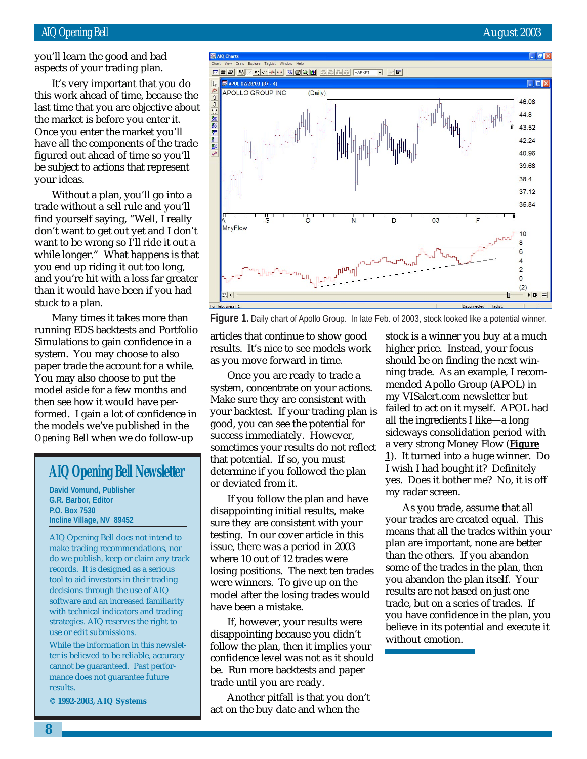you'll learn the good and bad aspects of your trading plan.

this work ahead of time, because the It's very important that you do last time that you are objective about the market is before you enter it. Once you enter the market you'll have all the components of the trade figured out ahead of time so you'll be subject to actions that represent your ideas.

Without a plan, you'll go into a trade without a sell rule and you'll find yourself saying, "Well, I really don't want to get out yet and I don't want to be wrong so I'll ride it out a while longer." What happens is that you end up riding it out too long, and you're hit with a loss far greater than it would have been if you had stuck to a plan.

Many times it takes more than running EDS backtests and Portfolio Simulations to gain confidence in a system. You may choose to also paper trade the account for a while. You may also choose to put the model aside for a few months and then see how it would have performed. I gain a lot of confidence in the models we've published in the *Opening Bell* when we do follow-up

### **AIQ Opening Bell Newsletter**

**David Vomund, Publisher G.R. Barbor, Editor P.O. Box 7530 Incline Village, NV 89452**

AIQ Opening Bell does not intend to make trading recommendations, nor do we publish, keep or claim any track records. It is designed as a serious tool to aid investors in their trading decisions through the use of AIQ software and an increased familiarity with technical indicators and trading strategies. AIQ reserves the right to use or edit submissions.

While the information in this newsletter is believed to be reliable, accuracy cannot be guaranteed. Past performance does not guarantee future results.

**© 1992-2003, AIQ Systems**



**Figure 1.** Daily chart of Apollo Group. In late Feb. of 2003, stock looked like a potential winner.

articles that continue to show good results. It's nice to see models work as you move forward in time.

Once you are ready to trade a system, concentrate on your actions. Make sure they are consistent with your backtest. If your trading plan is good, you can see the potential for success immediately. However, sometimes your results do not reflect that potential. If so, you must determine if you followed the plan or deviated from it.

If you follow the plan and have disappointing initial results, make sure they are consistent with your testing. In our cover article in this issue, there was a period in 2003 where 10 out of 12 trades were losing positions. The next ten trades were winners. To give up on the model after the losing trades would have been a mistake.

If, however, your results were disappointing because you didn't follow the plan, then it implies your confidence level was not as it should be. Run more backtests and paper trade until you are ready.

Another pitfall is that you don't act on the buy date and when the

stock is a winner you buy at a much higher price. Instead, your focus should be on finding the next winning trade. As an example, I recommended Apollo Group (APOL) in my VISalert.com newsletter but failed to act on it myself. APOL had all the ingredients I like—a long sideways consolidation period with a very strong Money Flow (**Figure 1**). It turned into a huge winner. Do I wish I had bought it? Definitely yes. Does it bother me? No, it is off my radar screen.

As you trade, assume that all your trades are created equal. This means that all the trades within your plan are important, none are better than the others. If you abandon some of the trades in the plan, then you abandon the plan itself. Your results are not based on just one trade, but on a series of trades. If you have confidence in the plan, you believe in its potential and execute it without emotion.

**8**